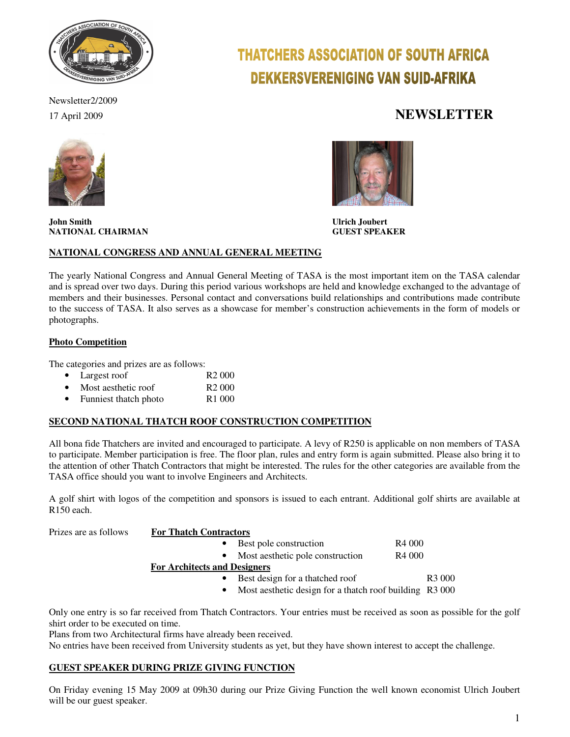

Newsletter2/2009

# THATCHERS ASSOCIATION OF SOUTH AFRICA **DEKKERSVERENIGING VAN SUID-AFRIKA**

## 17 April 2009 **NEWSLETTER**



**John Smith Ulrich Joubert NATIONAL CHAIRMAN** 



#### **NATIONAL CONGRESS AND ANNUAL GENERAL MEETING**

The yearly National Congress and Annual General Meeting of TASA is the most important item on the TASA calendar and is spread over two days. During this period various workshops are held and knowledge exchanged to the advantage of members and their businesses. Personal contact and conversations build relationships and contributions made contribute to the success of TASA. It also serves as a showcase for member's construction achievements in the form of models or photographs.

#### **Photo Competition**

The categories and prizes are as follows:

- Largest roof R2 000
- Most aesthetic roof R2 000
- Funniest thatch photo R1 000

#### **SECOND NATIONAL THATCH ROOF CONSTRUCTION COMPETITION**

All bona fide Thatchers are invited and encouraged to participate. A levy of R250 is applicable on non members of TASA to participate. Member participation is free. The floor plan, rules and entry form is again submitted. Please also bring it to the attention of other Thatch Contractors that might be interested. The rules for the other categories are available from the TASA office should you want to involve Engineers and Architects.

A golf shirt with logos of the competition and sponsors is issued to each entrant. Additional golf shirts are available at R150 each.

Prizes are as follows **For Thatch Contractors**

| Best pole construction           | R <sub>4</sub> 000 |
|----------------------------------|--------------------|
| Most aesthetic pole construction | R <sub>4</sub> 000 |

 **For Architects and Designers**

- Best design for a thatched roof R3 000
- Most aesthetic design for a thatch roof building R3 000

Only one entry is so far received from Thatch Contractors. Your entries must be received as soon as possible for the golf shirt order to be executed on time.

Plans from two Architectural firms have already been received.

No entries have been received from University students as yet, but they have shown interest to accept the challenge.

#### **GUEST SPEAKER DURING PRIZE GIVING FUNCTION**

On Friday evening 15 May 2009 at 09h30 during our Prize Giving Function the well known economist Ulrich Joubert will be our guest speaker.

1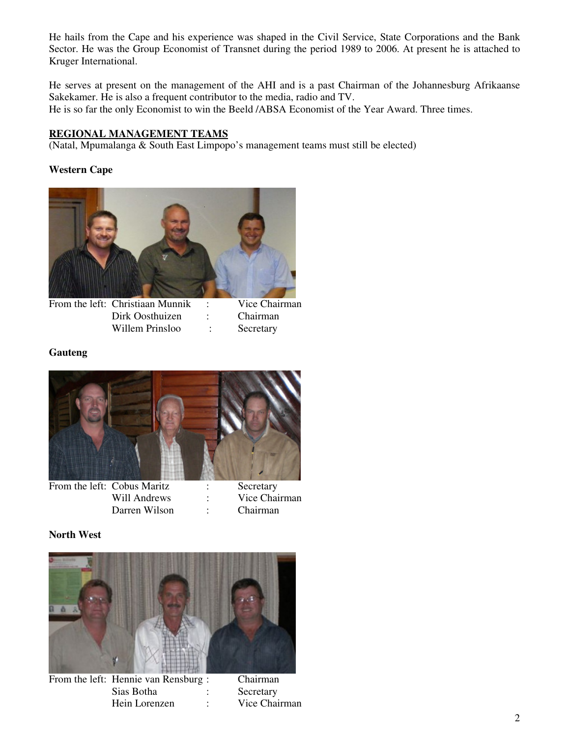He hails from the Cape and his experience was shaped in the Civil Service, State Corporations and the Bank Sector. He was the Group Economist of Transnet during the period 1989 to 2006. At present he is attached to Kruger International.

He serves at present on the management of the AHI and is a past Chairman of the Johannesburg Afrikaanse Sakekamer. He is also a frequent contributor to the media, radio and TV. He is so far the only Economist to win the Beeld /ABSA Economist of the Year Award. Three times.

### **REGIONAL MANAGEMENT TEAMS**

(Natal, Mpumalanga & South East Limpopo's management teams must still be elected)

#### **Western Cape**



From the left: Christiaan Munnik : Vice Chairman Dirk Oosthuizen : Chairman Willem Prinsloo : Secretary

#### **Gauteng**



From the left: Cobus Maritz : Secretary Will Andrews : Vice Chairman Darren Wilson : Chairman

#### **North West**



From the left: Hennie van Rensburg : Chairman Sias Botha : Secretary Hein Lorenzen : Vice Chairman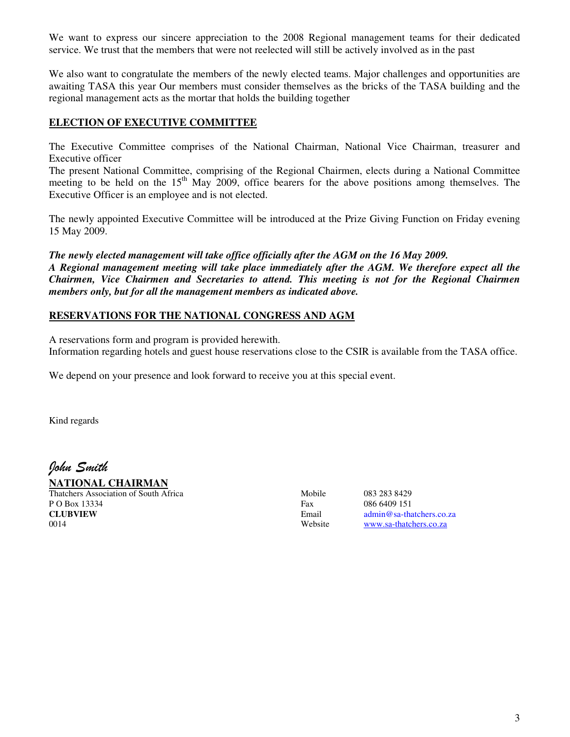We want to express our sincere appreciation to the 2008 Regional management teams for their dedicated service. We trust that the members that were not reelected will still be actively involved as in the past

We also want to congratulate the members of the newly elected teams. Major challenges and opportunities are awaiting TASA this year Our members must consider themselves as the bricks of the TASA building and the regional management acts as the mortar that holds the building together

#### **ELECTION OF EXECUTIVE COMMITTEE**

The Executive Committee comprises of the National Chairman, National Vice Chairman, treasurer and Executive officer

The present National Committee, comprising of the Regional Chairmen, elects during a National Committee meeting to be held on the  $15<sup>th</sup>$  May 2009, office bearers for the above positions among themselves. The Executive Officer is an employee and is not elected.

The newly appointed Executive Committee will be introduced at the Prize Giving Function on Friday evening 15 May 2009.

*The newly elected management will take office officially after the AGM on the 16 May 2009. A Regional management meeting will take place immediately after the AGM. We therefore expect all the Chairmen, Vice Chairmen and Secretaries to attend. This meeting is not for the Regional Chairmen members only, but for all the management members as indicated above.* 

#### **RESERVATIONS FOR THE NATIONAL CONGRESS AND AGM**

A reservations form and program is provided herewith.

Information regarding hotels and guest house reservations close to the CSIR is available from the TASA office.

We depend on your presence and look forward to receive you at this special event.

Kind regards

John Smith

**NATIONAL CHAIRMAN** Thatchers Association of South Africa Mobile 083 283 8429

P O Box 13334 Fax 086 6409 151<br> **CLUBVIEW** Email admin@sa-tha 0014 Website www.sa-thatchers.co.za

Email admin@sa-thatchers.co.za